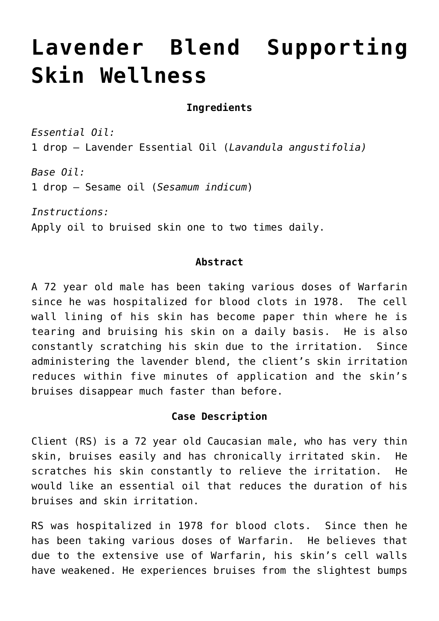# **[Lavender Blend Supporting](http://michaelspackman.com/2016/10/lavender-blend-supporting-skin-wellness/) [Skin Wellness](http://michaelspackman.com/2016/10/lavender-blend-supporting-skin-wellness/)**

## **Ingredients**

*Essential Oil:* 1 drop – Lavender Essential Oil (*Lavandula angustifolia)*

*Base Oil:* 1 drop – Sesame oil (*Sesamum indicum*)

*Instructions:* Apply oil to bruised skin one to two times daily.

#### **Abstract**

A 72 year old male has been taking various doses of Warfarin since he was hospitalized for blood clots in 1978. The cell wall lining of his skin has become paper thin where he is tearing and bruising his skin on a daily basis. He is also constantly scratching his skin due to the irritation. Since administering the lavender blend, the client's skin irritation reduces within five minutes of application and the skin's bruises disappear much faster than before.

#### **Case Description**

Client (RS) is a 72 year old Caucasian male, who has very thin skin, bruises easily and has chronically irritated skin. He scratches his skin constantly to relieve the irritation. He would like an essential oil that reduces the duration of his bruises and skin irritation.

RS was hospitalized in 1978 for blood clots. Since then he has been taking various doses of Warfarin. He believes that due to the extensive use of Warfarin, his skin's cell walls have weakened. He experiences bruises from the slightest bumps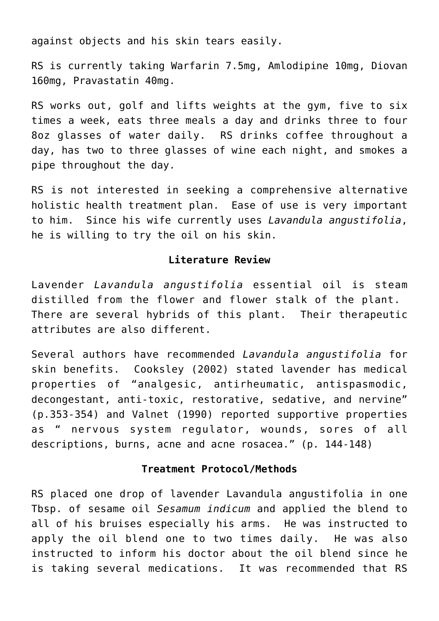against objects and his skin tears easily.

RS is currently taking Warfarin 7.5mg, Amlodipine 10mg, Diovan 160mg, Pravastatin 40mg.

RS works out, golf and lifts weights at the gym, five to six times a week, eats three meals a day and drinks three to four 8oz glasses of water daily. RS drinks coffee throughout a day, has two to three glasses of wine each night, and smokes a pipe throughout the day.

RS is not interested in seeking a comprehensive alternative holistic health treatment plan. Ease of use is very important to him. Since his wife currently uses *Lavandula angustifolia*, he is willing to try the oil on his skin.

## **Literature Review**

Lavender *Lavandula angustifolia* essential oil is steam distilled from the flower and flower stalk of the plant. There are several hybrids of this plant. Their therapeutic attributes are also different.

Several authors have recommended *Lavandula angustifolia* for skin benefits. Cooksley (2002) stated lavender has medical properties of "analgesic, antirheumatic, antispasmodic, decongestant, anti-toxic, restorative, sedative, and nervine" (p.353-354) and Valnet (1990) reported supportive properties as " nervous system regulator, wounds, sores of all descriptions, burns, acne and acne rosacea." (p. 144-148)

#### **Treatment Protocol/Methods**

RS placed one drop of lavender Lavandula angustifolia in one Tbsp. of sesame oil *Sesamum indicum* and applied the blend to all of his bruises especially his arms. He was instructed to apply the oil blend one to two times daily. He was also instructed to inform his doctor about the oil blend since he is taking several medications. It was recommended that RS